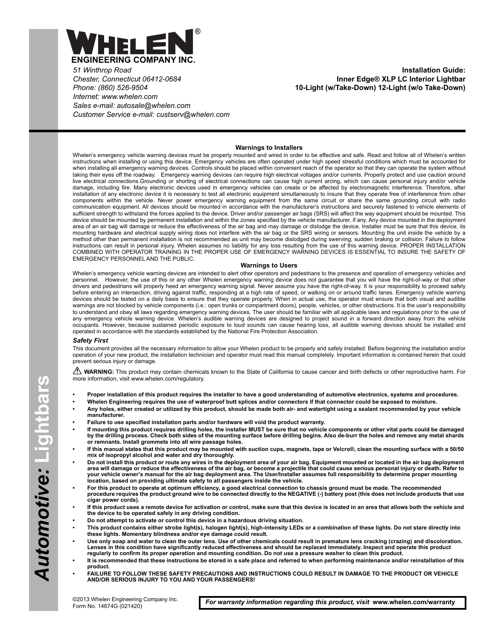

*51 Winthrop Road Chester, Connecticut 06412-0684 Phone: (860) 526-9504 Internet: www.whelen.com Sales e-mail: autosale@whelen.com Customer Service e-mail: custserv@whelen.com*

**Installation Guide: Inner Edge® XLP LC Interior Lightbar 10-Light (w/Take-Down) 12-Light (w/o Take-Down)**

#### **Warnings to Installers**

Whelen's emergency vehicle warning devices must be properly mounted and wired in order to be effective and safe. Read and follow all of Whelen's written instructions when installing or using this device. Emergency vehicles are often operated under high speed stressful conditions which must be accounted for when installing all emergency warning devices. Controls should be placed within convenient reach of the operator so that they can operate the system without taking their eyes off the roadway. Emergency warning devices can require high electrical voltages and/or currents. Properly protect and use caution around live electrical connections.Grounding or shorting of electrical connections can cause high current arcing, which can cause personal injury and/or vehicle damage, including fire. Many electronic devices used in emergency vehicles can create or be affected by electromagnetic interference. Therefore, after installation of any electronic device it is necessary to test all electronic equipment simultaneously to insure that they operate free of interference from other components within the vehicle. Never power emergency warning equipment from the same circuit or share the same grounding circuit with radio communication equipment. All devices should be mounted in accordance with the manufacturer's instructions and securely fastened to vehicle elements of sufficient strength to withstand the forces applied to the device. Driver and/or passenger air bags (SRS) will affect the way equipment should be mounted. This device should be mounted by permanent installation and within the zones specified by the vehicle manufacturer, if any. Any device mounted in the deployment area of an air bag will damage or reduce the effectiveness of the air bag and may damage or dislodge the device. Installer must be sure that this device, its mounting hardware and electrical supply wiring does not interfere with the air bag or the SRS wiring or sensors. Mounting the unit inside the vehicle by a method other than permanent installation is not recommended as unit may become dislodged during swerving; sudden braking or collision. Failure to follow instructions can result in personal injury. Whelen assumes no liability for any loss resulting from the use of this warning device. PROPER INSTALLATION COMBINED WITH OPERATOR TRAINING IN THE PROPER USE OF EMERGENCY WARNING DEVICES IS ESSENTIAL TO INSURE THE SAFETY OF EMERGENCY PERSONNEL AND THE PUBLIC.

#### **Warnings to Users**

Whelen's emergency vehicle warning devices are intended to alert other operators and pedestrians to the presence and operation of emergency vehicles and personnel. However, the use of this or any other Whelen emergency warning device does not guarantee that you will have the right-of-way or that other drivers and pedestrians will properly heed an emergency warning signal. Never assume you have the right-of-way. It is your responsibility to proceed safely before entering an intersection, driving against traffic, responding at a high rate of speed, or walking on or around traffic lanes. Emergency vehicle warning devices should be tested on a daily basis to ensure that they operate properly. When in actual use, the operator must ensure that both visual and audible warnings are not blocked by vehicle components (i.e.: open trunks or compartment doors), people, vehicles, or other obstructions. It is the user's responsibility to understand and obey all laws regarding emergency warning devices. The user should be familiar with all applicable laws and regulations prior to the use of<br>any emergency vehicle warning device. Whelen's audible warning d occupants. However, because sustained periodic exposure to loud sounds can cause hearing loss, all audible warning devices should be installed and operated in accordance with the standards established by the National Fire Protection Association.

#### *Safety First*

This document provides all the necessary information to allow your Whelen product to be properly and safely installed. Before beginning the installation and/or operation of your new product, the installation technician and operator must read this manual completely. Important information is contained herein that could prevent serious injury or damage.

WARNING: This product may contain chemicals known to the State of California to cause cancer and birth defects or other reproductive harm. For more information, visit www.whelen.com/regulatory.

- **Proper installation of this product requires the installer to have a good understanding of automotive electronics, systems and procedures.**
- **Whelen Engineering requires the use of waterproof butt splices and/or connectors if that connector could be exposed to moisture.**
- **Any holes, either created or utilized by this product, should be made both air- and watertight using a sealant recommended by your vehicle manufacturer.**
- **Failure to use specified installation parts and/or hardware will void the product warranty.**
- **If mounting this product requires drilling holes, the installer MUST be sure that no vehicle components or other vital parts could be damaged by the drilling process. Check both sides of the mounting surface before drilling begins. Also de-burr the holes and remove any metal shards or remnants. Install grommets into all wire passage holes.**
- **If this manual states that this product may be mounted with suction cups, magnets, tape or Velcro®, clean the mounting surface with a 50/50 mix of isopropyl alcohol and water and dry thoroughly.**
- **Do not install this product or route any wires in the deployment area of your air bag. Equipment mounted or located in the air bag deployment**  area will damage or reduce the effectiveness of the air bag, or become a projectile that could cause serious personal injury or death. Refer to<br>your vehicle owner's manual for the air bag deployment area. The User/Installe
- **For this product to operate at optimum efficiency, a good electrical connection to chassis ground must be made. The recommended procedure requires the product ground wire to be connected directly to the NEGATIVE (-) battery post (this does not include products that use cigar power cords).**
- **If this product uses a remote device for activation or control, make sure that this device is located in an area that allows both the vehicle and the device to be operated safely in any driving condition.**
- **Do not attempt to activate or control this device in a hazardous driving situation.**
- **This product contains either strobe light(s), halogen light(s), high-intensity LEDs or a combination of these lights. Do not stare directly into these lights. Momentary blindness and/or eye damage could result.**
- **Use only soap and water to clean the outer lens. Use of other chemicals could result in premature lens cracking (crazing) and discoloration.**  Lenses in this condition have significantly reduced effectiveness and should be replaced immediately. Inspect and operate this product<br>regularly to confirm its proper operation and mounting condition. Do not use a pressure
- **It is recommended that these instructions be stored in a safe place and referred to when performing maintenance and/or reinstallation of this product.**
- **FAILURE TO FOLLOW THESE SAFETY PRECAUTIONS AND INSTRUCTIONS COULD RESULT IN DAMAGE TO THE PRODUCT OR VEHICLE AND/OR SERIOUS INJURY TO YOU AND YOUR PASSENGERS!**

*For warranty information regarding this product, visit* **www.whelen.com/warranty**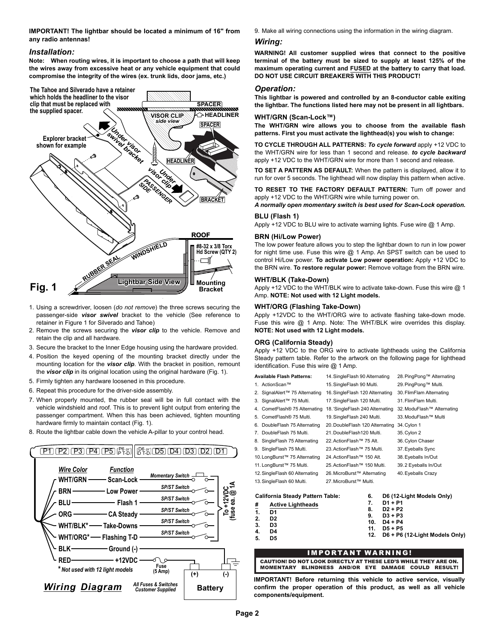**IMPORTANT! The lightbar should be located a minimum of 16" from any radio antennas!**

### *Installation:*

**Note: When routing wires, it is important to choose a path that will keep the wires away from excessive heat or any vehicle equipment that could compromise the integrity of the wires (ex. trunk lids, door jams, etc.)**



- 1. Using a screwdriver, loosen (*do not remove*) the three screws securing the passenger-side *visor swivel* bracket to the vehicle (See reference to retainer in Figure 1 for Silverado and Tahoe)
- 2. Remove the screws securing the *visor clip* to the vehicle. Remove and retain the clip and all hardware.
- 3. Secure the bracket to the Inner Edge housing using the hardware provided.
- 4. Position the keyed opening of the mounting bracket directly under the mounting location for the *visor clip*. With the bracket in position, remount the *visor clip* in its original location using the original hardware (Fig. 1).
- 5. Firmly tighten any hardware loosened in this procedure.
- 6. Repeat this procedure for the driver-side assembly.
- 7. When properly mounted, the rubber seal will be in full contact with the vehicle windshield and roof. This is to prevent light output from entering the passenger compartment. When this has been achieved, tighten mounting hardware firmly to maintain contact (Fig. 1).



8. Route the lightbar cable down the vehicle A-pillar to your control head.

9. Make all wiring connections using the information in the wiring diagram.

#### *Wiring:*

**WARNING! All customer supplied wires that connect to the positive terminal of the battery must be sized to supply at least 125% of the maximum operating current and FUSED at the battery to carry that load. DO NOT USE CIRCUIT BREAKERS WITH THIS PRODUCT!**

#### *Operation:*

**This lightbar is powered and controlled by an 8-conductor cable exiting the lightbar. The functions listed here may not be present in all lightbars.**

#### **WHT/GRN (Scan-Lock™)**

**The WHT/GRN wire allows you to choose from the available flash patterns. First you must activate the lighthead(s) you wish to change:** 

**TO CYCLE THROUGH ALL PATTERNS:** *To cycle forward* apply +12 VDC to the WHT/GRN wire for less than 1 second and release. *to cycle backward* apply +12 VDC to the WHT/GRN wire for more than 1 second and release.

**TO SET A PATTERN AS DEFAULT:** When the pattern is displayed, allow it to run for over 5 seconds. The lighthead will now display this pattern when active.

**TO RESET TO THE FACTORY DEFAULT PATTERN:** Turn off power and apply +12 VDC to the WHT/GRN wire while turning power on.

*A normally open momentary switch is best used for Scan-Lock operation.*

### **BLU (Flash 1)**

Apply +12 VDC to BLU wire to activate warning lights. Fuse wire @ 1 Amp.

#### **BRN (Hi/Low Power)**

The low power feature allows you to step the lightbar down to run in low power for night time use. Fuse this wire @ 1 Amp. An SPST switch can be used to control Hi/Low power. **To activate Low power operation:** Apply +12 VDC to the BRN wire. **To restore regular power:** Remove voltage from the BRN wire.

#### **WHT/BLK (Take-Down)**

Apply +12 VDC to the WHT/BLK wire to activate take-down. Fuse this wire @ 1 Amp. **NOTE: Not used with 12 Light models.**

#### **WHT/ORG (Flashing Take-Down)**

Apply +12VDC to the WHT/ORG wire to activate flashing take-down mode. Fuse this wire @ 1 Amp. Note: The WHT/BLK wire overrides this display. **NOTE: Not used with 12 Light models.**

#### **ORG (California Steady)**

Apply +12 VDC to the ORG wire to activate lightheads using the California Steady pattern table. Refer to the artwork on the following page for lighthead identification. Fuse this wire @ 1 Amp.

| <b>Available Flash Patterns:</b>        | 14. SingleFlash 90 Alternating   | 28. PingPong™ Alternating      |
|-----------------------------------------|----------------------------------|--------------------------------|
| 1. ActionScan™                          | 15. SingleFlash 90 Multi.        | 29. PingPong™ Multi.           |
| 2. SignalAlert™ 75 Alternating          | 16. SingleFlash 120 Alternating  | 30. FlimFlam Alternating       |
| 3. SignalAlert™ 75 Multi.               | 17. SingleFlash 120 Multi.       | 31. Flim Flam Multi.           |
| 4. CometFlash® 75 Alternating           | 18. 'SingleFlash 240 Alternating | 32. ModuFlash™ Alternating     |
| 5. CometFlash® 75 Multi.                | 19. SingleFlash 240 Multi.       | 33. ModuFlash™ Multi           |
| 6. DoubleFlash 75 Alternating           | 20. DoubleFlash 120 Alternating  | 34. Cylon 1                    |
| 7. DoubleFlash 75 Multi.                | 21. DoubleFlash120 Multi.        | 35. Cylon 2                    |
| 8. SingleFlash 75 Alternating           | 22. ActionFlash™ 75 Alt.         | 36. Cylon Chaser               |
| 9. SingleFlash 75 Multi.                | 23. ActionFlash™ 75 Multi.       | 37. Eyeballs Sync              |
| 10. LongBurst™ 75 Alternating           | 24. ActionFlash™ 150 Alt.        | 38. Eyeballs In/Out            |
| 11. LongBurst™ 75 Multi.                | 25. ActionFlash™ 150 Multi.      | 39.2 Eyeballs In/Out           |
| 12. SingleFlash 60 Alternating          | 26. MicroBurst™ Alternating      | 40. Eyeballs Crazy             |
| 13. SingleFlash 60 Multi.               | 27. MicroBurst™ Multi.           |                                |
| <b>California Steady Pattern Table:</b> | 6.                               | D6 (12-Light Models Only)      |
| #<br><b>Active Lightheads</b>           | 7.                               | D1 + P1                        |
| 1.<br>D1                                | 8.                               | D2 + P2                        |
| D2<br>2.                                | 9.<br>10.                        | D3 + P3<br>D4 + P4             |
| 3.<br>D3                                | 11.                              | D5 + P5                        |
| D4<br>4.<br>5.<br>D5                    | 12.                              | D6 + P6 (12-Light Models Only) |
|                                         |                                  |                                |

### IMPORTANT WARNING!

CAUTION! DO NOT LOOK DIRECTLY AT THESE LED'S WHILE THEY ARE ON. MOMENTARY BLINDNESS AND/OR EYE DAMAGE COULD RESULT!

**IMPORTANT! Before returning this vehicle to active service, visually confirm the proper operation of this product, as well as all vehicle components/equipment.**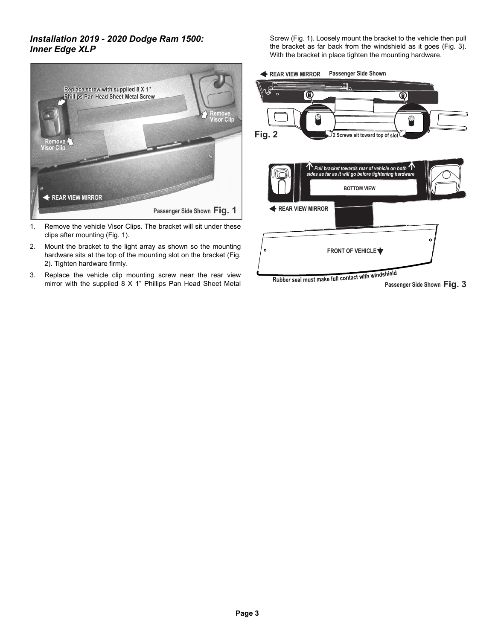# *Installation 2019 - 2020 Dodge Ram 1500: Inner Edge XLP*



- 1. Remove the vehicle Visor Clips. The bracket will sit under these clips after mounting (Fig. 1).
- 2. Mount the bracket to the light array as shown so the mounting hardware sits at the top of the mounting slot on the bracket (Fig. 2). Tighten hardware firmly.
- 3. Replace the vehicle clip mounting screw near the rear view mirror with the supplied 8 X 1" Phillips Pan Head Sheet Metal

Screw (Fig. 1). Loosely mount the bracket to the vehicle then pull the bracket as far back from the windshield as it goes (Fig. 3). With the bracket in place tighten the mounting hardware.

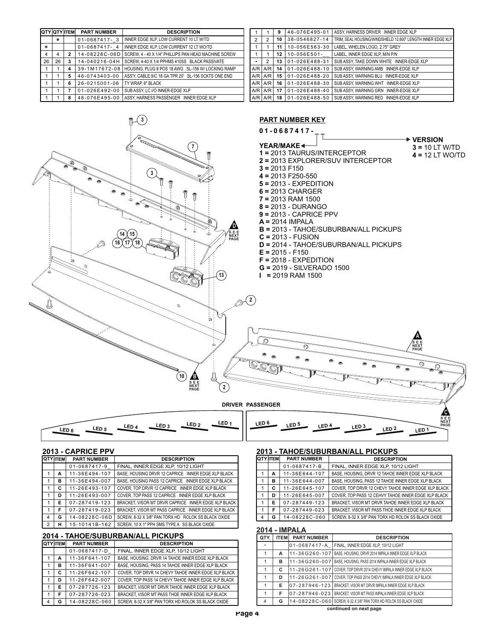|    |    | <b>QTY QTY ITEM</b> | <b>PART NUMBER</b> | <b>DESCRIPTION</b>                                   |
|----|----|---------------------|--------------------|------------------------------------------------------|
|    | ¥. |                     | 01-0687417-3       | INNER EDGE XLP. LOW CURRENT 10 LT W/TD               |
| ¥  |    |                     | 01-0687417-4       | INNER EDGE XLP. LOW CURRENT 12 LT WO/TD              |
| 4  | 4  | 2                   | 14-08228C-06D      | SCREW, 4 - 40 X 1/4" PHILLIPS PAN HEAD MACHINE SCREW |
| 26 | 26 | 3                   | 14-040216-04H      | SCREW, 4-40 X 1/4 PPHMS 410SS BLACK PASSIVATE        |
| 1  |    | 4                   | 39-1M17672-08      | HOUSING, PLUG 8 POS 18 AWG SL-156 W/ LOCKING RAMP    |
| 1  | 1  | 5                   | 46-0743403-00      | ASS'Y, CABLE 9/C 18 GA TPR 20' SL-156 SCKTS ONE END  |
| 1  | 1  | 6                   | 26-0215001-06      | TY WRAP. 6" BLACK                                    |
|    | 1  |                     | 01-026E492-00      | SUB ASSY, LC I/O INNER-EDGE XLP                      |
|    |    | 8                   | 46-076E495-00      | ASSY, HARNESS PASSENGER INNER EDGE XLP               |

|                |                | 9  | 46-076E495-01 | ASSY, HARNESS DRIVER INNER EDGE XLP                         |
|----------------|----------------|----|---------------|-------------------------------------------------------------|
| $\overline{2}$ | $\overline{2}$ | 10 | 38-0546827-14 | TRIM. SEAL HOUSING/WINDSHIELD 13.600" LENGTH INNER EDGE XLP |
| 1              | 1              | 11 | 10-056E563-30 | LABEL, WHELEN LOGO, 2.75" GREY                              |
| 1              | 1              | 12 | 10-056E501-   | LABEL. INNER EDGE XLP. M/N P/N                              |
| $\bullet$ .    | 2              | 13 | 01-026E488-31 | SUB ASSY. TAKE DOWN WHITE INNER-EDGE XLP                    |
|                | $A/R$ $A/R$    | 14 | 01-026E488-10 | SUB ASSY, WARNING AMB INNER-EDGE XLP                        |
|                | $A/R$ $A/R$    | 15 | 01-026E488-20 | SUB ASSY, WARNING BLU INNER-EDGE XLP                        |
|                | $A/R$ $A/R$    | 16 | 01-026E488-30 | SUB ASSY, WARNING WHT INNER-EDGE XLP                        |
|                | $A/R$ $A/R$    | 17 | 01-026E488-40 | SUB ASSY, WARNING GRN INNER-EDGE XLP                        |
|                | $AVR$ $AVR$    | 18 | 01-026E488-50 | SUB ASSY, WARNING RED INNER-EDGE XLP                        |



# **2013 - CAPRICE PPV**

|                | <b>QTY TEM</b> | <b>PART NUMBER</b> | <b>DESCRIPTION</b>                                  |
|----------------|----------------|--------------------|-----------------------------------------------------|
|                |                | 01-0687417-9       | FINAL. INNER EDGE XLP. 10/12 LIGHT                  |
|                | А              | 11-36E494-107      | BASE, HOUSING DRVR 12 CAPRICE INNER EDGE XLP BLACK  |
|                | в              | 11-36E494-007      | BASE, HOUSING PASS 12 CAPRICE INNER EDGE XLP BLACK  |
|                | C              | 11-26E493-107      | COVER. TOP DRVR 12 CAPRICE INNER EDGE XLP BLACK     |
|                | D              | 11-26E493-007      | COVER. TOP PASS 12 CAPRICE INNER EDGE XLP BLACK     |
| 1              | Е              | 07-287419-123      | BRACKET. VISOR MT DRVR CAPRICE INNER EDGE XLP BLACK |
|                | F              | 07-287419-023      | BRACKET. VISOR MT PASS CAPRICE INNER EDGE XLP BLACK |
| 4              | G              | 14-08228C-06D      | SCREW, 8-32 X 3/8" PAN TORX HD ROLOK SS BLACK OXIDE |
| $\overline{2}$ | н              | 15-10141B-162      | SCREW. 10 X 1" PPH SMS TYPE A SS BLACK OXIDE        |

## **2014 - TAHOE/SUBURBAN/ALL PICKUPS**

|   | <b>ITEM</b> | <b>PART NUMBER</b> | <b>DESCRIPTION</b>                                  |
|---|-------------|--------------------|-----------------------------------------------------|
|   |             | 01-0687417-D       | FINAL. INNER EDGE XLP. 10/12 LIGHT                  |
|   | A           | 11-36F641-107      | BASE, HOUSING, DRVR 14 TAHOE INNER EDGE XLP BLACK   |
|   | в           | 11-36F641-007      | BASE, HOUSING, PASS 14 TAHOE INNER EDGE XLP BLACK   |
|   | c           | 11-26F642-107      | COVER. TOP DRVR 14 CHEVY TAHOE INNER EDGE XLP BLACK |
|   | D           | 11-26F642-007      | COVER. TOP PASS 14 CHEVY TAHOE INNER EDGE XLP BLACK |
|   | F           | 07-287726-123      | BRACKET. VISOR MT DRVR TAHOE INNER EDGE XLP BLACK   |
|   | F           | 07-287726-023      | BRACKET. VISOR MT PASS THOE INNER EDGE XLP BLACK    |
| 4 | G           | 14-08228C-060      | SCREW. 8-32 X 3/8" PAN TORX HD ROLOK SS BLACK OXIDE |

### **2013 - TAHOE/SUBURBAN/ALL PICKUPS**

| TEM | <b>PART NUMBER</b> | <b>DESCRIPTION</b>                                  |
|-----|--------------------|-----------------------------------------------------|
|     | 01-0687417-B       | FINAL. INNER EDGE XLP. 10/12 LIGHT                  |
| А   | 11-36E644-107      | BASE, HOUSING, DRVR 12 TAHOE INNER EDGE XLP BLACK   |
| в   | 11-36E644-007      | BASE, HOUSING, PASS 12 TAHOE INNER EDGE XLP BLACK   |
| c   | 11-26E645-107      | COVER. TOP DRVR 12 CHEVY TAHOE INNER EDGE XLP BLACK |
| D   | 11-26E645-007      | COVER. TOP PASS 12 CEHVY TAHOE INNER EDGE XLP BLACK |
| Е   | 07-287449-123      | BRACKET. VISOR MT DRVR TAHOE INNER EDGE XLP BLACK   |
| F   | 07-287449-023      | BRACKET, VISOR MT PASS THOE INNER EDGE XLP BLACK    |
| G   | 14-08228C-060      | SCREW. 8-32 X 3/8" PAN TORX HD ROLOK SS BLACK OXIDE |

## **2014 - IMPALA**

| QTY.                 | <b>ITEM</b> | <b>PART NUMBER</b>  | <b>DESCRIPTION</b>                                                         |
|----------------------|-------------|---------------------|----------------------------------------------------------------------------|
| $\ddot{\phantom{1}}$ |             | 01-0687417-A        | FINAL. INNER EDGE XLP. 10/12 LIGHT                                         |
| 1                    | A           | 11-36G260-107       | BASE. HOUSING. DRVR 2014 IMPALA INNER EDGE XLP BLACK                       |
| 1                    | в           | 11-36G260-007       | BASE. HOUSING. PASS 2014 IMPALA INNER EDGE XLP BLACK                       |
| 1                    | c           |                     | 11-26 G 261-107 COVER. TOP DRVR 2014 CHEVY IMPALA INNER EDGE XLP BLACK     |
| 1                    | D           |                     | 11 - 26 G 261 - 007 COVER, TOP PASS 2014 CHEVY IMPALA INNER EDGE XLP BLACK |
| 1                    | F           | $07 - 287946 - 123$ | BRACKET. VISOR MT DRVR IMPALA INNER EDGE XLP BLACK                         |
| 1                    | F           | 07-287946-023       | BRACKET. VISOR MT PASS IMPALA INNER EDGE XLP BLACK                         |
| 4                    | G           | 14-08228C-060L      | SCREW. 8-32 X 3/8" PAN TORX HD ROLOK SS BLACK OXIDE                        |

**continued on next page**